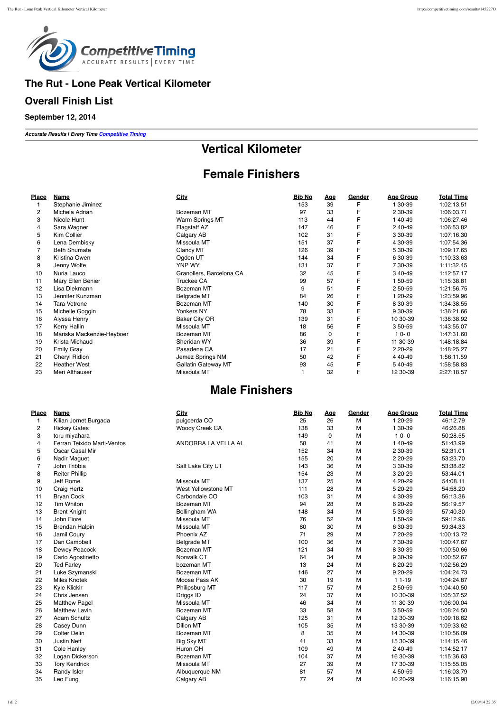

### **The Rut - Lone Peak Vertical Kilometer**

#### **Overall Finish List**

**September 12, 2014**

*Accurate Results | Every Time Competitive Timing*

# **Vertical Kilometer**

# **Female Finishers**

| Place             | Name                      | City                       | <b>Bib No</b> | <u>Age</u> | Gender | <b>Age Group</b> | <b>Total Time</b> |
|-------------------|---------------------------|----------------------------|---------------|------------|--------|------------------|-------------------|
|                   | Stephanie Jiminez         |                            | 153           | 39         |        | 1 30-39          | 1:02:13.51        |
| 2                 | Michela Adrian            | Bozeman MT                 | 97            | 33         |        | 2 30-39          | 1:06:03.71        |
| 3                 | Nicole Hunt               | Warm Springs MT            | 113           | 44         | F      | 1 40-49          | 1:06:27.46        |
| 4                 | Sara Wagner               | Flagstaff AZ               | 147           | 46         | F      | 2 40-49          | 1:06:53.82        |
| 5                 | Kim Collier               | Calgary AB                 | 102           | 31         | F      | 3 30-39          | 1:07:16.30        |
| 6                 | Lena Dembisky             | Missoula MT                | 151           | 37         | F      | 4 30-39          | 1:07:54.36        |
|                   | <b>Beth Shumate</b>       | Clancy MT                  | 126           | 39         | F      | 5 30-39          | 1:09:17.65        |
| 8                 | Kristina Owen             | Ogden UT                   | 144           | 34         | F      | 6 30-39          | 1:10:33.63        |
| 9                 | Jenny Wolfe               | YNP WY                     | 131           | 37         | F      | 7 30-39          | 1:11:32.45        |
| 10                | Nuria Lauco               | Granollers, Barcelona CA   | 32            | 45         | F      | 3 40-49          | 1:12:57.17        |
| 11                | Mary Ellen Benier         | Truckee CA                 | 99            | 57         | F      | 1 50-59          | 1:15:38.81        |
| $12 \overline{ }$ | Lisa Diekmann             | Bozeman MT                 | 9             | 51         | F      | 2 50-59          | 1:21:56.75        |
| 13                | Jennifer Kunzman          | <b>Belgrade MT</b>         | 84            | 26         | F      | 1 20-29          | 1:23:59.96        |
| 14                | <b>Tara Vetrone</b>       | Bozeman MT                 | 140           | 30         | F      | 8 30-39          | 1:34:38.55        |
| 15                | Michelle Goggin           | Yonkers NY                 | 78            | 33         | F      | 9 30-39          | 1:36:21.66        |
| 16                | Alyssa Henry              | <b>Baker City OR</b>       | 139           | 31         | F      | 10 30-39         | 1:38:38.92        |
| 17                | Kerry Hallin              | Missoula MT                | 18            | 56         | F      | 3 50-59          | 1:43:55.07        |
| 18                | Mariska Mackenzie-Heyboer | Bozeman MT                 | 86            | 0          | F      | $10 - 0$         | 1:47:31.60        |
| 19                | Krista Michaud            | Sheridan WY                | 36            | 39         | F      | 11 30-39         | 1:48:18.84        |
| 20                | <b>Emily Gray</b>         | Pasadena CA                | 17            | 21         | F      | 2 20-29          | 1:48:25.27        |
| 21                | Cheryl Ridlon             | Jemez Springs NM           | 50            | 42         | F      | 4 40-49          | 1:56:11.59        |
| 22                | <b>Heather West</b>       | <b>Gallatin Gateway MT</b> | 93            | 45         |        | 5 40-49          | 1:58:58.83        |
| 23                | Meri Althauser            | Missoula MT                |               | 32         | F      | 12 30-39         | 2:27:18.57        |

## **Male Finishers**

| Place | Name                        | City                | <b>Bib No</b> | <b>Age</b> | Gender | <b>Age Group</b> | <b>Total Time</b> |
|-------|-----------------------------|---------------------|---------------|------------|--------|------------------|-------------------|
| 1     | Kilian Jornet Burgada       | puigcerda CO        | 25            | 26         | M      | 1 20-29          | 46:12.79          |
| 2     | <b>Rickey Gates</b>         | Woody Creek CA      | 138           | 33         | M      | 1 30-39          | 46:26.88          |
| 3     | toru miyahara               |                     | 149           | 0          | M      | $10 - 0$         | 50:28.55          |
| 4     | Ferran Teixido Marti-Ventos | ANDORRA LA VELLA AL | 58            | 41         | M      | 1 40-49          | 51:43.99          |
| 5     | Oscar Casal Mir             |                     | 152           | 34         | M      | 2 30-39          | 52:31.01          |
| 6     | Nadir Maguet                |                     | 155           | 20         | M      | 2 20-29          | 53:23.70          |
| 7     | John Tribbia                | Salt Lake City UT   | 143           | 36         | M      | 3 30-39          | 53:38.82          |
| 8     | <b>Reiter Phillip</b>       |                     | 154           | 23         | M      | 3 20-29          | 53:44.01          |
| 9     | Jeff Rome                   | Missoula MT         | 137           | 25         | M      | 4 20-29          | 54:08.11          |
| 10    | Craig Hertz                 | West Yellowstone MT | 111           | 28         | M      | 5 20-29          | 54:58.20          |
| 11    | <b>Bryan Cook</b>           | Carbondale CO       | 103           | 31         | M      | 4 30-39          | 56:13.36          |
| 12    | Tim Whiton                  | Bozeman MT          | 94            | 28         | M      | 6 20-29          | 56:19.57          |
| 13    | <b>Brent Knight</b>         | Bellingham WA       | 148           | 34         | M      | 5 30-39          | 57:40.30          |
| 14    | John Fiore                  | Missoula MT         | 76            | 52         | M      | 1 50-59          | 59:12.96          |
| 15    | <b>Brendan Halpin</b>       | Missoula MT         | 80            | 30         | М      | 6 30-39          | 59:34.33          |
| 16    | Jamil Coury                 | Phoenix AZ          | 71            | 29         | M      | 7 20-29          | 1:00:13.72        |
| 17    | Dan Campbell                | <b>Belgrade MT</b>  | 100           | 36         | М      | 7 30-39          | 1:00:47.67        |
| 18    | Dewey Peacock               | Bozeman MT          | 121           | 34         | М      | 8 30-39          | 1:00:50.66        |
| 19    | Carlo Agostinetto           | Norwalk CT          | 64            | 34         | M      | 9 30-39          | 1:00:52.67        |
| 20    | <b>Ted Farley</b>           | bozeman MT          | 13            | 24         | M      | 8 20-29          | 1:02:56.29        |
| 21    | Luke Szymanski              | Bozeman MT          | 146           | 27         | M      | 9 20-29          | 1:04:24.73        |
| 22    | <b>Miles Knotek</b>         | Moose Pass AK       | 30            | 19         | М      | $11-19$          | 1:04:24.87        |
| 23    | <b>Kyle Klickir</b>         | Philipsburg MT      | 117           | 57         | М      | 2 50-59          | 1:04:40.50        |
| 24    | Chris Jensen                | Driggs ID           | 24            | 37         | М      | 10 30-39         | 1:05:37.52        |
| 25    | <b>Matthew Pagel</b>        | Missoula MT         | 46            | 34         | M      | 11 30-39         | 1:06:00.04        |
| 26    | <b>Matthew Lavin</b>        | Bozeman MT          | 33            | 58         | M      | 3 50-59          | 1:08:24.50        |
| 27    | <b>Adam Schultz</b>         | Calgary AB          | 125           | 31         | M      | 12 30-39         | 1:09:18.62        |
| 28    | Casey Dunn                  | Dillon MT           | 105           | 35         | M      | 13 30-39         | 1:09:33.62        |
| 29    | <b>Colter Delin</b>         | Bozeman MT          | 8             | 35         | M      | 14 30-39         | 1:10:56.09        |
| 30    | <b>Justin Nett</b>          | Big Sky MT          | 41            | 33         | M      | 15 30-39         | 1:14:15.46        |
| 31    | Cole Hanley                 | Huron OH            | 109           | 49         | M      | 2 40-49          | 1:14:52.17        |
| 32    | Logan Dickerson             | Bozeman MT          | 104           | 37         | М      | 16 30-39         | 1:15:36.63        |
| 33    | <b>Tory Kendrick</b>        | Missoula MT         | 27            | 39         | М      | 17 30-39         | 1:15:55.05        |
| 34    | Randy Isler                 | Albuquerque NM      | 81            | 57         | М      | 4 50-59          | 1:16:03.79        |
| 35    | Leo Fung                    | Calgary AB          | 77            | 24         | М      | 10 20-29         | 1:16:15.90        |